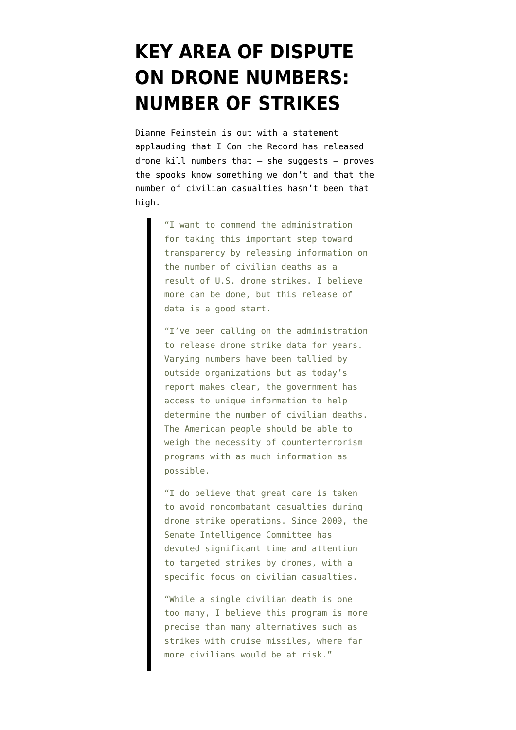## **[KEY AREA OF DISPUTE](https://www.emptywheel.net/2016/07/12/key-area-of-dispute-on-drone-numbers-number-of-strikes/) [ON DRONE NUMBERS:](https://www.emptywheel.net/2016/07/12/key-area-of-dispute-on-drone-numbers-number-of-strikes/) [NUMBER OF STRIKES](https://www.emptywheel.net/2016/07/12/key-area-of-dispute-on-drone-numbers-number-of-strikes/)**

Dianne Feinstein is out with a [statement](http://www.feinstein.senate.gov/public/index.cfm/press-releases?ContentRecord_id=99E824D3-8C84-4773-86C4-A4B77F307B5B) applauding that [I Con the Record has released](https://www.emptywheel.net/2016/07/01/happy-flag-waving-drone-document-dump/) drone kill numbers that — she suggests — proves the spooks know something we don't and that the number of civilian casualties hasn't been that high.

> "I want to commend the administration for taking this important step toward transparency by releasing information on the number of civilian deaths as a result of U.S. drone strikes. I believe more can be done, but this release of data is a good start.

> "I've been calling on the administration to release drone strike data for years. Varying numbers have been tallied by outside organizations but as today's report makes clear, the government has access to unique information to help determine the number of civilian deaths. The American people should be able to weigh the necessity of counterterrorism programs with as much information as possible.

> "I do believe that great care is taken to avoid noncombatant casualties during drone strike operations. Since 2009, the Senate Intelligence Committee has devoted significant time and attention to targeted strikes by drones, with a specific focus on civilian casualties.

> "While a single civilian death is one too many, I believe this program is more precise than many alternatives such as strikes with cruise missiles, where far more civilians would be at risk."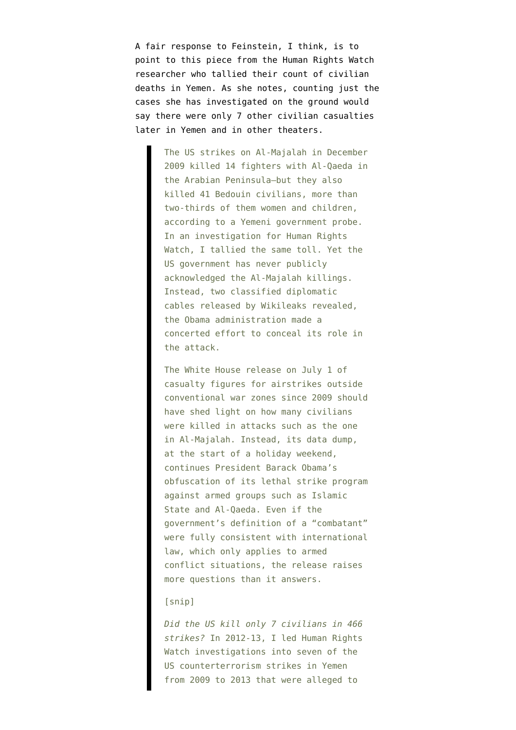A fair response to Feinstein, I think, is to point to [this piece](http://www.huffingtonpost.com/entry/airstrike-transparency-we_b_10888774) from the Human Rights Watch researcher who tallied their count of civilian deaths in Yemen. As she notes, counting just the cases she has investigated on the ground would say there were only 7 other civilian casualties later in Yemen and in other theaters.

> The US strikes on Al-Majalah in December 2009 killed 14 fighters with Al-Qaeda in the Arabian Peninsula—but they also killed 41 Bedouin civilians, more than two-thirds of them women and children, according to a Yemeni government probe. In an investigation for Human Rights Watch, I tallied the same toll. Yet the US government has never publicly acknowledged the Al-Majalah killings. Instead, two classified diplomatic cables released by Wikileaks revealed, the Obama administration made a concerted effort to conceal its role in the attack.

> The White House release on July 1 of casualty figures for airstrikes outside conventional war zones since 2009 should have shed light on how many civilians were killed in attacks such as the one in Al-Majalah. Instead, its data dump, at the start of a holiday weekend, continues President Barack Obama's obfuscation of its lethal strike program against armed groups such as Islamic State and Al-Qaeda. Even if the government's definition of a "combatant" were fully consistent with international law, which only applies to armed conflict situations, the release raises more questions than it answers.

## [snip]

*Did the US kill only 7 civilians in 466 strikes?* In 2012-13, I led Human Rights Watch investigations into seven of the US counterterrorism strikes in Yemen from 2009 to 2013 that were alleged to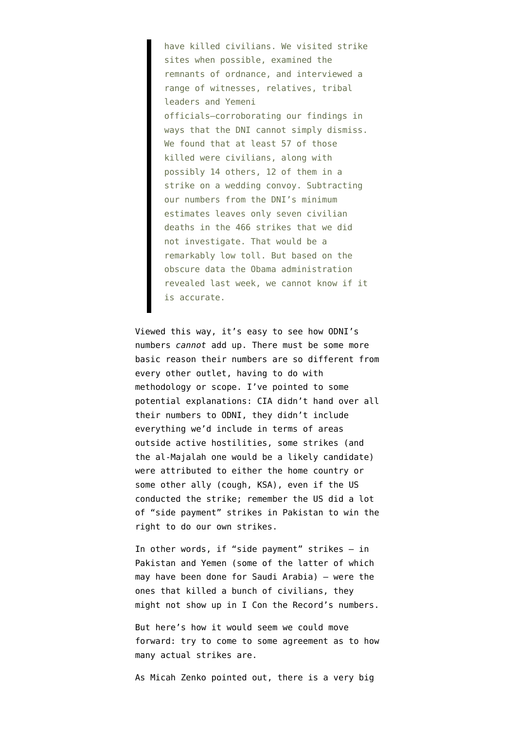have killed civilians. We visited strike sites when possible, examined the remnants of ordnance, and interviewed a range of witnesses, relatives, tribal leaders and Yemeni officials—corroborating our findings in ways that the DNI cannot simply dismiss. We found that at least 57 of those killed were civilians, along with possibly 14 others, 12 of them in a strike on a wedding convoy. Subtracting our numbers from the DNI's minimum estimates leaves only seven civilian deaths in the 466 strikes that we did not investigate. That would be a remarkably low toll. But based on the obscure data the Obama administration revealed last week, we cannot know if it is accurate.

Viewed this way, it's easy to see how ODNI's numbers *cannot* add up. There must be some more basic reason their numbers are so different from every other outlet, having to do with methodology or scope. I've pointed to some potential explanations: CIA didn't hand over all their numbers to ODNI, they didn't include everything we'd include in terms of areas outside active hostilities, some strikes (and the al-Majalah one would be a likely candidate) were attributed to either the home country or some other ally (cough, KSA), even if the US conducted the strike; remember the US did a lot of "side payment" strikes in Pakistan to win the right to do our own strikes.

In other words, if "side payment" strikes — in Pakistan and Yemen (some of the latter of which may have been done for Saudi Arabia) — were the ones that killed a bunch of civilians, they might not show up in I Con the Record's numbers.

But here's how it would seem we could move forward: try to come to some agreement as to how many actual strikes are.

As Micah Zenko [pointed out,](http://blogs.cfr.org/zenko/2016/07/01/questioning-obamas-drone-deaths-data/http://blogs.cfr.org/zenko/2016/07/01/questioning-obamas-drone-deaths-data/) there is a very big